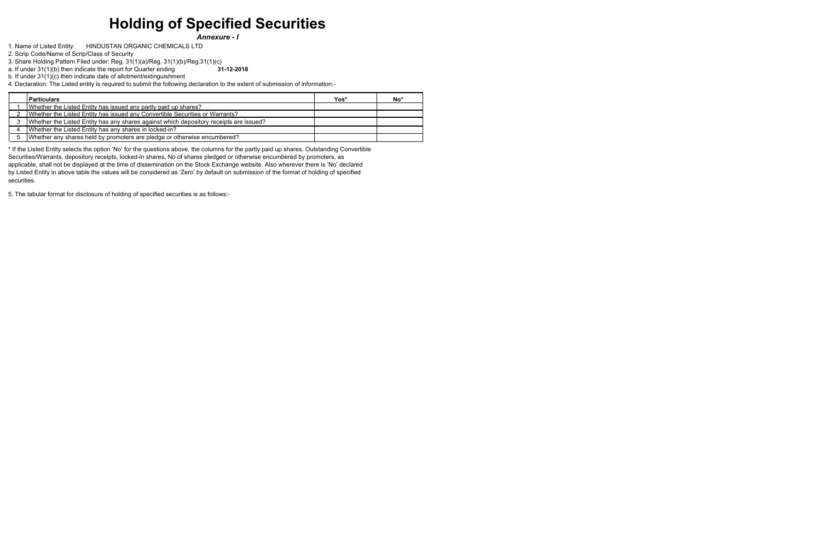# **Holding of Specified Securities**

*Annexure - I* 

2. Scrip Code/Name of Scrip/Class of Security

3. Share Holding Pattern Filed under: Reg. 31(1)(a)/Reg. 31(1)(b)/Reg.31(1)(c)

b. If under 31(1)(c) then indicate date of allotment/extinguishment

4. Declaration: The Listed entity is required to submit the following declaration to the extent of submission of information:-

1. Name of Listed Entity: HINDUSTAN ORGANIC CHEMICALS LTD

a. If under 31(1)(b) then indicate the report for Quarter ending **31-12-2018**

| <b>Particulars</b>                                                                     | Yes* | No* |
|----------------------------------------------------------------------------------------|------|-----|
| Whether the Listed Entity has issued any partly paid up shares?                        |      |     |
| Whether the Listed Entity has issued any Convertible Securities or Warrants?           |      |     |
| Whether the Listed Entity has any shares against which depository receipts are issued? |      |     |
| Whether the Listed Entity has any shares in locked-in?                                 |      |     |
| Whether any shares held by promoters are pledge or otherwise encumbered?               |      |     |

\* If the Listed Entity selects the option 'No' for the questions above, the columns for the partly paid up shares, Outstanding Convertible Securities/Warrants, depository receipts, locked-in shares, No of shares pledged or otherwise encumbered by promoters, as applicable, shall not be displayed at the time of dissemination on the Stock Exchange website. Also wherever there is 'No' declared by Listed Entity in above table the values will be considered as 'Zero' by default on submission of the format of holding of specified securities.

5. The tabular format for disclosure of holding of specified securities is as follows:-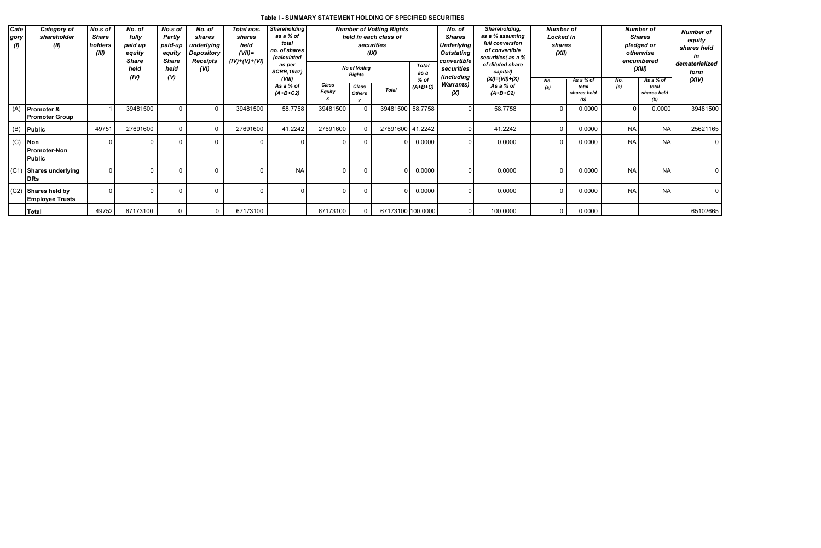# **Table I - SUMMARY STATEMENT HOLDING OF SPECIFIED SECURITIES**

| Cate<br>gory<br>(I) | <b>Category of</b><br>shareholder<br>(II)       | No.s of<br><b>Share</b><br>holders<br>(III) | No. of<br>fully<br>paid up<br>equity<br><b>Share</b><br>held<br>(IV) | <b>Shareholding</b><br><b>Number of Votting Rights</b><br>No.s of<br>No. of<br>Total nos.<br>as a % of<br>held in each class of<br><b>Partly</b><br>shares<br>shares<br>total<br>securities<br>held<br>paid-up<br>underlying<br>no. of shares<br>$(VII)=$<br>(IX)<br><b>Depository</b><br>equity<br>(calculated<br>$(IV)+(V)+(VI)$<br><b>Share</b><br>Receipts<br>as per<br><b>No of Voting</b><br>held<br>(VI)<br><b>SCRR, 1957)</b><br><b>Rights</b><br>(V)<br>(VIII) |              |          |                         |                               |                        | <b>Total</b><br>as a<br>$%$ of | No. of<br><b>Shares</b><br>Underlying<br>Outstating<br>convertible<br>securities<br><i>(including</i> | Shareholding,<br>as a % assuming<br>full conversion<br>of convertible<br>securities(as a %<br>of diluted share<br>capital)<br>$(XI) = (VII) + (X)$ |                         | <b>Number of</b><br>Locked in<br>shares<br>(XII)<br>As a % of<br>No. |                             |            |                             | <b>Number of</b><br><b>Shares</b><br>pledged or<br>otherwise<br>encumbered<br>(XIII)<br>As a % of | <b>Number of</b><br>equity<br>shares held<br>in<br>dematerialized<br>form<br>(XIV) |  |
|---------------------|-------------------------------------------------|---------------------------------------------|----------------------------------------------------------------------|-------------------------------------------------------------------------------------------------------------------------------------------------------------------------------------------------------------------------------------------------------------------------------------------------------------------------------------------------------------------------------------------------------------------------------------------------------------------------|--------------|----------|-------------------------|-------------------------------|------------------------|--------------------------------|-------------------------------------------------------------------------------------------------------|----------------------------------------------------------------------------------------------------------------------------------------------------|-------------------------|----------------------------------------------------------------------|-----------------------------|------------|-----------------------------|---------------------------------------------------------------------------------------------------|------------------------------------------------------------------------------------|--|
|                     |                                                 |                                             |                                                                      |                                                                                                                                                                                                                                                                                                                                                                                                                                                                         |              |          | As a % of<br>$(A+B+C2)$ | <b>Class</b><br><b>Equity</b> | Class<br><b>Others</b> | <b>Total</b>                   | $(A+B+C)$                                                                                             | <b>Warrants)</b><br>(X)                                                                                                                            | As a % of<br>$(A+B+C2)$ | (a)                                                                  | total<br>shares held<br>(b) | No.<br>(a) | total<br>shares held<br>(b) |                                                                                                   |                                                                                    |  |
| (A)                 | <b>Promoter &amp;</b><br><b>Promoter Group</b>  |                                             | 39481500                                                             | $\Omega$                                                                                                                                                                                                                                                                                                                                                                                                                                                                | $\Omega$     | 39481500 | 58.7758                 | 39481500                      |                        | 39481500                       | 58.7758                                                                                               | $\Omega$                                                                                                                                           | 58.7758                 | $\Omega$                                                             | 0.0000                      |            | 0.0000                      | 39481500                                                                                          |                                                                                    |  |
|                     | $(B)$ Public                                    | 49751                                       | 27691600                                                             | $\mathbf{0}$                                                                                                                                                                                                                                                                                                                                                                                                                                                            | $\Omega$     | 27691600 | 41.2242                 | 27691600                      |                        | 27691600 41.2242               |                                                                                                       | 0 I                                                                                                                                                | 41.2242                 | $\Omega$                                                             | 0.0000                      | <b>NA</b>  | <b>NA</b>                   | 25621165                                                                                          |                                                                                    |  |
| (C)                 | Non<br><b>Promoter-Non</b><br>Public            |                                             | $\Omega$                                                             | $\Omega$                                                                                                                                                                                                                                                                                                                                                                                                                                                                | $\mathbf{0}$ | $\Omega$ |                         |                               |                        |                                | 0.0000                                                                                                | 0                                                                                                                                                  | 0.0000                  | $\mathbf{0}$                                                         | 0.0000                      | <b>NA</b>  | <b>NAI</b>                  |                                                                                                   |                                                                                    |  |
|                     | (C1) Shares underlying<br>DRs                   | $\Omega$                                    |                                                                      | $\Omega$                                                                                                                                                                                                                                                                                                                                                                                                                                                                | $\Omega$     | $\Omega$ | <b>NA</b>               |                               |                        |                                | 0.0000                                                                                                | 0                                                                                                                                                  | 0.0000                  | $\Omega$                                                             | 0.0000                      | <b>NA</b>  | <b>NA</b>                   |                                                                                                   |                                                                                    |  |
|                     | $(C2)$ Shares held by<br><b>Employee Trusts</b> |                                             |                                                                      | $\Omega$                                                                                                                                                                                                                                                                                                                                                                                                                                                                | $\Omega$     | $\Omega$ |                         |                               |                        |                                | 0.0000                                                                                                | 0                                                                                                                                                  | 0.0000                  | $\Omega$                                                             | 0.0000                      | <b>NA</b>  | NA                          |                                                                                                   |                                                                                    |  |
|                     | Total                                           | 49752                                       | 67173100                                                             |                                                                                                                                                                                                                                                                                                                                                                                                                                                                         |              | 67173100 |                         | 67173100                      | $\Omega$               | 67173100 100.0000              |                                                                                                       | $\overline{0}$                                                                                                                                     | 100.0000                | $\Omega$                                                             | 0.0000                      |            |                             | 65102665                                                                                          |                                                                                    |  |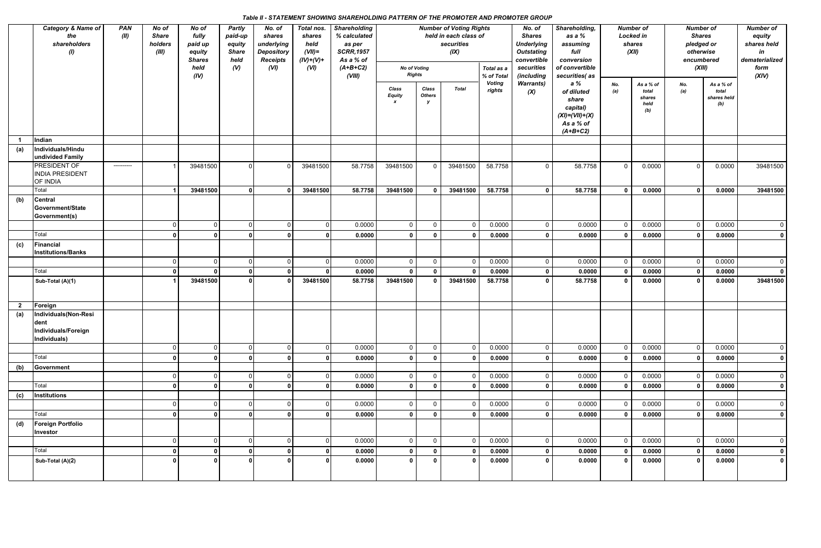# *Table II - STATEMENT SHOWING SHAREHOLDING PATTERN OF THE PROMOTER AND PROMOTER GROUP*

|                         | Category & Name of     | <b>PAN</b>  | No of        | No of         | <b>Partly</b> | No. of            | Total nos.  | <b>Shareholding</b> | <b>Number of Voting Rights</b><br>held in each class of |                |                         |                         | No. of<br>Shareholding,<br>as a %<br><b>Shares</b> |                      | <b>Number of</b> |                  | <b>Number of</b> |                      | <b>Number of</b> |
|-------------------------|------------------------|-------------|--------------|---------------|---------------|-------------------|-------------|---------------------|---------------------------------------------------------|----------------|-------------------------|-------------------------|----------------------------------------------------|----------------------|------------------|------------------|------------------|----------------------|------------------|
|                         | the                    | (II)        | <b>Share</b> | fully         | paid-up       | shares            | shares      | % calculated        |                                                         |                |                         |                         |                                                    |                      |                  | <b>Locked in</b> | <b>Shares</b>    |                      | equity           |
|                         | shareholders           |             | holders      | paid up       | equity        | underlying        | held        | as per              |                                                         |                | securities              |                         | <b>Underlying</b>                                  | assuming             |                  | shares           | pledged or       |                      | shares held      |
|                         | $\langle I \rangle$    |             | (III)        | equity        | <b>Share</b>  | <b>Depository</b> | $(VII)=$    | <b>SCRR, 1957</b>   |                                                         |                | (IX)                    |                         | <b>Outstating</b>                                  | full                 |                  | (XII)            | otherwise        |                      | in               |
|                         |                        |             |              | <b>Shares</b> | held          | <b>Receipts</b>   | $(IV)+(V)+$ | As a % of           |                                                         |                |                         |                         | convertible                                        | conversion           |                  |                  | encumbered       |                      | dematerialized   |
|                         |                        |             |              | held          | (V)           | (VI)              | (VI)        | $(A+B+C2)$          | <b>No of Voting</b>                                     |                |                         | Total as a              | securities                                         | of convertible       |                  |                  | (XIII)           |                      | form             |
|                         |                        |             |              | (IV)          |               |                   |             | (VIII)              | <b>Rights</b>                                           |                |                         | % of Total              | (including                                         | securities(as        |                  |                  |                  |                      | (XIV)            |
|                         |                        |             |              |               |               |                   |             |                     | Class                                                   | Class          | <b>Total</b>            | <b>Voting</b><br>rights | <b>Warrants)</b>                                   | a %                  | No.              | As a % of        | No.              | As a % of            |                  |
|                         |                        |             |              |               |               |                   |             |                     | <b>Equity</b>                                           | <b>Others</b>  |                         |                         | (X)                                                | of diluted           | (a)              | total<br>shares  | (a)              | total<br>shares held |                  |
|                         |                        |             |              |               |               |                   |             |                     | $\boldsymbol{x}$                                        | y              |                         |                         |                                                    | share                |                  | held             |                  | (b)                  |                  |
|                         |                        |             |              |               |               |                   |             |                     |                                                         |                |                         |                         |                                                    | capital)             |                  | (b)              |                  |                      |                  |
|                         |                        |             |              |               |               |                   |             |                     |                                                         |                |                         |                         |                                                    | $(XI) = (VII) + (X)$ |                  |                  |                  |                      |                  |
|                         |                        |             |              |               |               |                   |             |                     |                                                         |                |                         |                         |                                                    | As a % of            |                  |                  |                  |                      |                  |
|                         |                        |             |              |               |               |                   |             |                     |                                                         |                |                         |                         |                                                    | $(A+B+C2)$           |                  |                  |                  |                      |                  |
|                         | Indian                 |             |              |               |               |                   |             |                     |                                                         |                |                         |                         |                                                    |                      |                  |                  |                  |                      |                  |
| (a)                     | Individuals/Hindu      |             |              |               |               |                   |             |                     |                                                         |                |                         |                         |                                                    |                      |                  |                  |                  |                      |                  |
|                         | undivided Family       |             |              |               |               |                   |             |                     |                                                         |                |                         |                         |                                                    |                      |                  |                  |                  |                      |                  |
|                         |                        |             |              |               | $\Omega$      |                   |             |                     |                                                         |                |                         |                         | $\Omega$                                           |                      |                  |                  | $\Omega$         |                      |                  |
|                         | PRESIDENT OF           | ----------- |              | 39481500      |               |                   | 39481500    | 58.7758             | 39481500                                                | $\mathbf{0}$   | 39481500                | 58.7758                 |                                                    | 58.7758              | $\overline{0}$   | 0.0000           |                  | 0.0000               | 39481500         |
|                         | <b>INDIA PRESIDENT</b> |             |              |               |               |                   |             |                     |                                                         |                |                         |                         |                                                    |                      |                  |                  |                  |                      |                  |
|                         | OF INDIA               |             |              |               |               |                   |             |                     |                                                         |                |                         |                         |                                                    |                      |                  |                  |                  |                      |                  |
|                         | Total                  |             |              | 39481500      | $\Omega$      |                   | 39481500    | 58.7758             | 39481500                                                |                | 39481500                | 58.7758                 | $\mathbf{0}$                                       | 58.7758              | $\mathbf{0}$     | 0.0000           | $\mathbf{0}$     | 0.0000               | 39481500         |
| (b)                     | <b>Central</b>         |             |              |               |               |                   |             |                     |                                                         |                |                         |                         |                                                    |                      |                  |                  |                  |                      |                  |
|                         | Government/State       |             |              |               |               |                   |             |                     |                                                         |                |                         |                         |                                                    |                      |                  |                  |                  |                      |                  |
|                         | Government(s)          |             |              |               |               |                   |             |                     |                                                         |                |                         |                         |                                                    |                      |                  |                  |                  |                      |                  |
|                         |                        |             |              | $\Omega$      | $\Omega$      |                   | 0           | 0.0000              | $\overline{0}$                                          | $\overline{0}$ | $\overline{0}$          | 0.0000                  | $\mathbf 0$                                        | 0.0000               | $\overline{0}$   | 0.0000           | $\overline{0}$   | 0.0000               | $\overline{0}$   |
|                         | Total                  |             |              |               |               |                   |             | 0.0000              | $\Omega$                                                | $\mathbf 0$    | - 0                     | 0.0000                  | $\Omega$                                           | 0.0000               | $\mathbf 0$      | 0.0000           | $\mathbf{0}$     | 0.0000               | $\mathbf 0$      |
|                         |                        |             |              |               |               |                   |             |                     |                                                         |                |                         |                         |                                                    |                      |                  |                  |                  |                      |                  |
| (c)                     | Financial              |             |              |               |               |                   |             |                     |                                                         |                |                         |                         |                                                    |                      |                  |                  |                  |                      |                  |
|                         | Institutions/Banks     |             |              |               |               |                   |             |                     |                                                         |                |                         |                         |                                                    |                      |                  |                  |                  |                      |                  |
|                         |                        |             |              |               | $\Omega$      |                   | 0I          | 0.0000              | $\overline{0}$                                          | $\overline{0}$ | $\overline{\mathbf{0}}$ | 0.0000                  | $\overline{0}$                                     | 0.0000               | $\overline{0}$   | 0.0000           | $\mathsf{O}$     | 0.0000               | $\overline{0}$   |
|                         | Total                  |             |              |               |               |                   |             | 0.0000              | $\mathbf{0}$                                            | $\mathbf 0$    | 0                       | 0.0000                  | $\mathbf 0$                                        | 0.0000               | $\mathbf 0$      | 0.0000           | $\mathbf 0$      | 0.0000               | $\mathbf{0}$     |
|                         | Sub-Total (A)(1)       |             |              | 39481500      |               |                   | 39481500    | 58.7758             | 39481500                                                | $\mathbf{0}$   | 39481500                | 58.7758                 | $\Omega$                                           | 58.7758              | $\mathbf{0}$     | 0.0000           | $\mathbf{r}$     | 0.0000               | 39481500         |
|                         |                        |             |              |               |               |                   |             |                     |                                                         |                |                         |                         |                                                    |                      |                  |                  |                  |                      |                  |
|                         |                        |             |              |               |               |                   |             |                     |                                                         |                |                         |                         |                                                    |                      |                  |                  |                  |                      |                  |
| $\overline{\mathbf{2}}$ | Foreign                |             |              |               |               |                   |             |                     |                                                         |                |                         |                         |                                                    |                      |                  |                  |                  |                      |                  |
|                         |                        |             |              |               |               |                   |             |                     |                                                         |                |                         |                         |                                                    |                      |                  |                  |                  |                      |                  |
| (a)                     | Individuals(Non-Resi   |             |              |               |               |                   |             |                     |                                                         |                |                         |                         |                                                    |                      |                  |                  |                  |                      |                  |
|                         | dent                   |             |              |               |               |                   |             |                     |                                                         |                |                         |                         |                                                    |                      |                  |                  |                  |                      |                  |
|                         | Individuals/Foreign    |             |              |               |               |                   |             |                     |                                                         |                |                         |                         |                                                    |                      |                  |                  |                  |                      |                  |
|                         | Individuals)           |             |              |               |               |                   |             |                     |                                                         |                |                         |                         |                                                    |                      |                  |                  |                  |                      |                  |
|                         |                        |             | $\Omega$     | $\Omega$      | $\Omega$      |                   | 0           | 0.0000              | $\mathsf 0$                                             | $\mathbf 0$    | $\overline{0}$          | 0.0000                  | $\mathsf 0$                                        | 0.0000               | $\mathbf 0$      | 0.0000           | $\mathbf 0$      | 0.0000               | $\overline{0}$   |
|                         | Total                  |             | $\Omega$     | $\Omega$      |               | $\Omega$          | 0 I         | 0.0000              | $\mathbf{0}$                                            | $\mathbf 0$    | $\mathbf 0$             | 0.0000                  | $\mathbf 0$                                        | 0.0000               | $\mathbf 0$      | 0.0000           | $\mathbf{0}$     | 0.0000               | $\mathbf{0}$     |
| (b)                     | Government             |             |              |               |               |                   |             |                     |                                                         |                |                         |                         |                                                    |                      |                  |                  |                  |                      |                  |
|                         |                        |             | <sup>n</sup> | $\Omega$      | ∩             |                   | 0 l         | 0.0000              | $\mathbf 0$                                             | $\overline{0}$ | $\overline{0}$          | 0.0000                  | $\mathbf 0$                                        | 0.0000               | $\overline{0}$   | 0.0000           | $\mathsf{O}$     | 0.0000               | $\overline{0}$   |
|                         |                        |             |              |               |               |                   |             |                     |                                                         |                |                         |                         |                                                    |                      |                  |                  |                  |                      |                  |
|                         | Total                  |             | 0            | n             |               |                   | Οl          | 0.0000              | $\mathbf{0}$                                            | $\mathbf 0$    | $\mathbf 0$             | 0.0000                  | 0                                                  | 0.0000               | $\mathbf 0$      | 0.0000           | $\mathbf 0$      | 0.0000               | $\mathbf 0$      |
| (c)                     | Institutions           |             |              |               |               |                   |             |                     |                                                         |                |                         |                         |                                                    |                      |                  |                  |                  |                      |                  |
|                         |                        |             |              | $\Omega$      | n             |                   | 0I          | 0.0000              | $\mathbf 0$                                             | $\mathbf 0$    | $\overline{\mathbf{0}}$ | 0.0000                  | $\mathbf{0}$                                       | 0.0000               | $\mathbf 0$      | 0.0000           | $\mathbf 0$      | 0.0000               | $\overline{0}$   |
|                         | Total                  |             | $\Omega$     |               | ∩             |                   | Οl          | 0.0000              | $\mathbf 0$                                             | $\mathbf 0$    | $\mathbf 0$             | 0.0000                  | 0                                                  | 0.0000               | $\mathbf 0$      | 0.0000           | $\mathbf 0$      | 0.0000               | $\mathbf{0}$     |
|                         |                        |             |              |               |               |                   |             |                     |                                                         |                |                         |                         |                                                    |                      |                  |                  |                  |                      |                  |
| (d)                     | Foreign Portfolio      |             |              |               |               |                   |             |                     |                                                         |                |                         |                         |                                                    |                      |                  |                  |                  |                      |                  |
|                         | Investor               |             |              |               |               |                   |             |                     |                                                         |                |                         |                         |                                                    |                      |                  |                  |                  |                      |                  |
|                         |                        |             | $\Omega$     | $\mathbf{0}$  | $\mathbf 0$   | $\Omega$          | 0           | 0.0000              | $\mathbf 0$                                             | $\overline{0}$ | $\overline{0}$          | 0.0000                  | $\overline{0}$                                     | 0.0000               | $\overline{0}$   | 0.0000           | $\mathsf{O}$     | 0.0000               | $\overline{0}$   |
|                         | Total                  |             | 0 l          | $\Omega$      |               | $\Omega$          | 0           | 0.0000              | $\mathbf 0$                                             | $\mathbf 0$    | $\mathbf 0$             | 0.0000                  | $\mathbf 0$                                        | 0.0000               | $\mathbf{0}$     | 0.0000           | $\mathbf 0$      | 0.0000               | $\mathbf{0}$     |
|                         | Sub-Total (A)(2)       |             |              |               |               |                   | οI          | 0.0000              | $\mathbf{0}$                                            | $\mathbf 0$    | $\mathbf 0$             | 0.0000                  | 0                                                  | 0.0000               | $\mathbf{0}$     | 0.0000           | $\Omega$         | 0.0000               | $\mathbf{0}$     |
|                         |                        |             |              |               |               |                   |             |                     |                                                         |                |                         |                         |                                                    |                      |                  |                  |                  |                      |                  |
|                         |                        |             |              |               |               |                   |             |                     |                                                         |                |                         |                         |                                                    |                      |                  |                  |                  |                      |                  |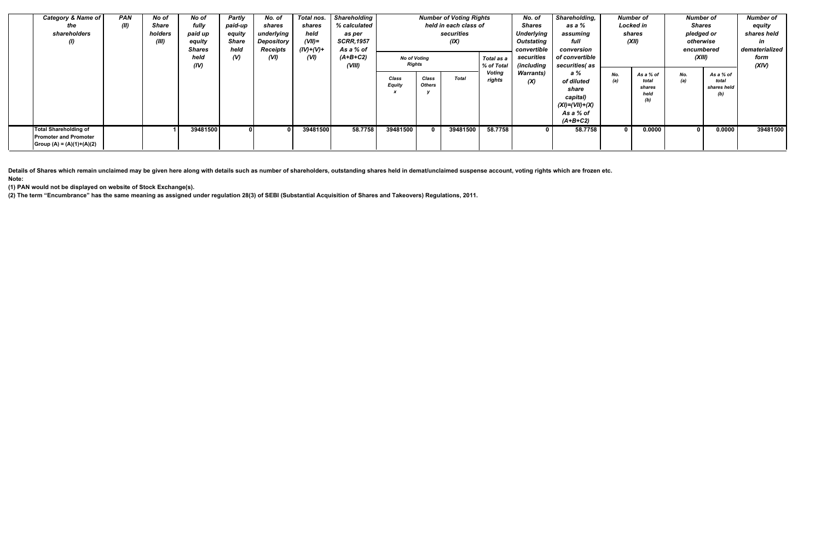| <b>Category &amp; Name of</b>                                                       | <b>PAN</b> | No of   | No of         | <b>Partly</b> | No. of          | Total nos.  | <b>Shareholding</b> | <b>Number of Voting Rights</b> |                        |              |                         | No. of                   | Shareholding,                                                                             |            | <b>Number of</b>                            | Number of                  |                          | <b>Number of</b> |
|-------------------------------------------------------------------------------------|------------|---------|---------------|---------------|-----------------|-------------|---------------------|--------------------------------|------------------------|--------------|-------------------------|--------------------------|-------------------------------------------------------------------------------------------|------------|---------------------------------------------|----------------------------|--------------------------|------------------|
| the                                                                                 | (II)       | Share   | fully         | paid-up       | shares          | shares      | % calculated        | held in each class of          |                        |              |                         | <b>Shares</b>            | as a %                                                                                    | Locked in  |                                             | <b>Shares</b>              |                          | equity           |
| shareholders                                                                        |            | holders | paid up       | equity        | underlying      | held        | as per              | securities                     |                        |              |                         | <b>Underlying</b>        | assuming                                                                                  |            | shares                                      |                            | pledged or               | shares held      |
| $\omega$                                                                            |            | (III)   | equity        | <b>Share</b>  | Depository      | $(VII)=$    | <b>SCRR, 1957</b>   | (IX)                           |                        |              |                         | Outstating               | full                                                                                      | (XII)      |                                             | otherwise                  |                          | in               |
|                                                                                     |            |         | <b>Shares</b> | held          | <b>Receipts</b> | $(IV)+(V)+$ | As a % of           |                                | convertible            |              |                         |                          | conversion                                                                                |            |                                             | encumbered                 |                          | dematerialized   |
|                                                                                     |            |         | held          | (V)           | (VI)            | (VI)        | $(A+B+C2)$          | <b>No of Voting</b>            |                        |              | Total as a              | securities               | of convertible                                                                            |            |                                             | (XIII)                     |                          | form             |
|                                                                                     |            |         | (IV)          |               |                 |             | (VIII)              | Rights                         |                        |              | % of Total              | <i>(including</i>        | securities(as                                                                             |            |                                             |                            |                          | (XIV)            |
|                                                                                     |            |         |               |               |                 |             |                     | <b>Class</b><br><b>Equity</b>  | Class<br><b>Others</b> | <b>Total</b> | <b>Voting</b><br>rights | <b>Warrants</b> )<br>(X) | a %<br>of diluted<br>share<br>capital)<br>$(XI) = (VII) + (X)$<br>As a % of<br>$(A+B+C2)$ | No.<br>(a) | As a % of<br>total<br>shares<br>held<br>(b) | No.<br>(a)<br>total<br>(b) | As a % of<br>shares held |                  |
| Total Shareholding of<br><b>Promoter and Promoter</b><br> Group (A) = (A)(1)+(A)(2) |            |         | 39481500      |               |                 | 39481500    | 58.7758             | 39481500                       |                        | 39481500     | 58.7758                 |                          | 58.7758                                                                                   |            | 0.0000                                      | $\mathbf{0}$               | 0.0000                   | 39481500         |

**Details of Shares which remain unclaimed may be given here along with details such as number of shareholders, outstanding shares held in demat/unclaimed suspense account, voting rights which are frozen etc. Note:**

**(1) PAN would not be displayed on website of Stock Exchange(s).**

**(2) The term "Encumbrance" has the same meaning as assigned under regulation 28(3) of SEBI (Substantial Acquisition of Shares and Takeovers) Regulations, 2011.**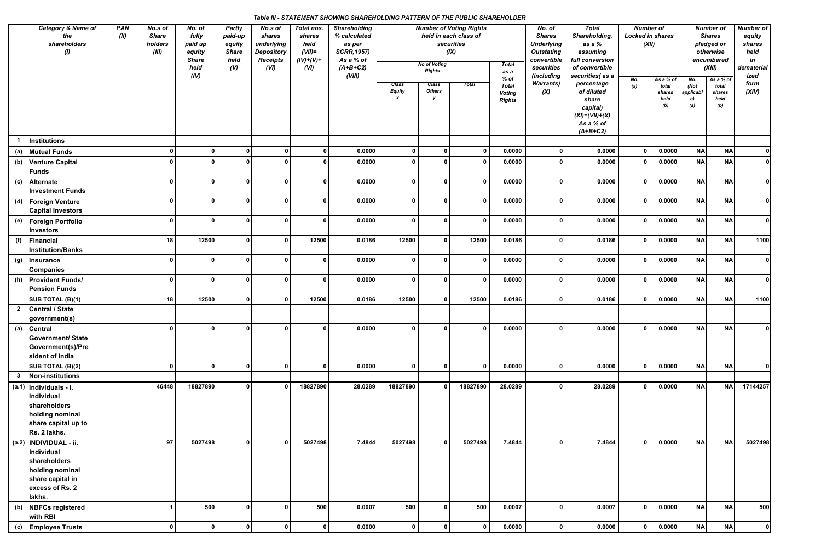# *Table III - STATEMENT SHOWING SHAREHOLDING PATTERN OF THE PUBLIC SHAREHOLDER*

|     | Category & Name of<br><b>PAN</b><br>No.s of<br>(II)<br><b>Share</b><br>the<br>shareholders<br>holders<br>(1)              |  |              | No. of<br>fully<br>paid up<br>equity<br><b>Share</b><br>held | Partly<br>paid-up<br>equity<br><b>Share</b><br>held<br>(V) | No.s of<br>shares<br>underlying<br><b>Depository</b><br><b>Receipts</b><br>(VI) | Total nos.<br>shares<br>held<br>$(VII)=$<br>$(IV)+(V)+$<br>(VI) | <b>Shareholding</b><br>% calculated<br>as per<br><b>SCRR, 1957)</b><br>As a % of<br>$(A+B+C2)$ |                                            | <b>No of Voting</b><br><b>Rights</b> | <b>Number of Voting Rights</b><br>held in each class of<br>securities<br>(IX) | <b>Total</b><br>as a                                     | No. of<br><b>Shares</b><br><b>Underlying</b><br><b>Outstating</b><br>convertible<br>securities | <b>Total</b><br>Shareholding,<br>as a %<br>assuming<br>full conversion<br>of convertible                            | <b>Number of</b><br><b>Locked in shares</b><br>(XII) |                                             |                                       | <b>Number of</b><br><b>Shares</b><br>pledged or<br>otherwise<br>encumbered<br>(XIII) | <b>Number of</b><br>equity<br>shares<br>held<br>in<br>dematerial |
|-----|---------------------------------------------------------------------------------------------------------------------------|--|--------------|--------------------------------------------------------------|------------------------------------------------------------|---------------------------------------------------------------------------------|-----------------------------------------------------------------|------------------------------------------------------------------------------------------------|--------------------------------------------|--------------------------------------|-------------------------------------------------------------------------------|----------------------------------------------------------|------------------------------------------------------------------------------------------------|---------------------------------------------------------------------------------------------------------------------|------------------------------------------------------|---------------------------------------------|---------------------------------------|--------------------------------------------------------------------------------------|------------------------------------------------------------------|
|     |                                                                                                                           |  |              | (IV)                                                         |                                                            |                                                                                 |                                                                 | (VIII)                                                                                         | <b>Class</b><br>Equity<br>$\boldsymbol{x}$ | <b>Class</b><br><b>Others</b>        | <b>Total</b>                                                                  | $%$ of<br><b>Total</b><br><b>Voting</b><br><b>Rights</b> | (including<br><b>Warrants</b> )<br>(X)                                                         | securities(as a<br>percentage<br>of diluted<br>share<br>capital)<br>$(XI) = (VII) + (X)$<br>As a % of<br>$(A+B+C2)$ | No.<br>(a)                                           | As a % of<br>total<br>shares<br>held<br>(b) | No.<br>(Not<br>applicabl<br>e)<br>(a) | As a % of<br>total<br>shares<br>held<br>(b)                                          | ized<br>form<br>(XIV)                                            |
|     | Institutions                                                                                                              |  |              |                                                              |                                                            |                                                                                 |                                                                 |                                                                                                |                                            |                                      |                                                                               |                                                          |                                                                                                |                                                                                                                     |                                                      |                                             |                                       |                                                                                      |                                                                  |
| (a) | <b>Mutual Funds</b>                                                                                                       |  | $\Omega$     | $\mathbf{0}$                                                 | $\Omega$                                                   | $\Omega$                                                                        |                                                                 | 0.0000                                                                                         | $\Omega$                                   |                                      | 0                                                                             | 0.0000                                                   | 0                                                                                              | 0.0000                                                                                                              | $\mathbf 0$                                          | 0.0000                                      | <b>NA</b>                             | NA                                                                                   | $\mathbf{0}$                                                     |
| (b) | <b>Venture Capital</b><br>Funds                                                                                           |  |              |                                                              |                                                            |                                                                                 |                                                                 | 0.0000                                                                                         |                                            |                                      | - 0                                                                           | 0.0000                                                   | $\mathbf{0}$                                                                                   | 0.0000                                                                                                              | $\mathbf 0$                                          | 0.0000                                      | <b>NA</b>                             | <b>NA</b>                                                                            |                                                                  |
| (c) | Alternate<br><b>Investment Funds</b>                                                                                      |  | 0            | $\Omega$                                                     | <sup>0</sup>                                               | $\Omega$                                                                        |                                                                 | 0.0000                                                                                         | - 0                                        |                                      | $\mathbf{0}$                                                                  | 0.0000                                                   | $\mathbf{0}$                                                                                   | 0.0000                                                                                                              | $\mathbf{0}$                                         | 0.0000                                      | <b>NA</b>                             | <b>NA</b>                                                                            | $\Omega$                                                         |
|     | (d)   Foreign Venture<br>Capital Investors                                                                                |  | $\mathbf{0}$ | $\Omega$                                                     | <sup>0</sup>                                               | $\Omega$                                                                        | O                                                               | 0.0000                                                                                         | 0                                          | $\Omega$                             | $\mathbf 0$                                                                   | 0.0000                                                   | $\mathbf 0$                                                                                    | 0.0000                                                                                                              | $\mathbf{0}$                                         | 0.0000                                      | <b>NA</b>                             | <b>NA</b>                                                                            |                                                                  |
| (e) | <b>Foreign Portfolio</b><br>Investors                                                                                     |  | n            | <sup>n</sup>                                                 | n                                                          |                                                                                 | <sup>n</sup>                                                    | 0.0000                                                                                         | - 0                                        |                                      | - 0                                                                           | 0.0000                                                   | $\mathbf{0}$                                                                                   | 0.0000                                                                                                              | $\mathbf{0}$                                         | 0.0000                                      | <b>NA</b>                             | <b>NA</b>                                                                            | $\mathbf{0}$                                                     |
| (f) | Financial<br><b>Institution/Banks</b>                                                                                     |  | 18           | 12500                                                        | 0                                                          | 0                                                                               | 12500                                                           | 0.0186                                                                                         | 12500                                      |                                      | 12500                                                                         | 0.0186                                                   | $\mathbf{0}$                                                                                   | 0.0186                                                                                                              | $\mathbf 0$                                          | 0.0000                                      | NA                                    | NA                                                                                   | 1100                                                             |
| (g) | <b>Insurance</b><br><b>Companies</b>                                                                                      |  | 0            | 0                                                            | <sup>0</sup>                                               | ŋ                                                                               | O                                                               | 0.0000                                                                                         | $\mathbf{0}$                               |                                      | 0                                                                             | 0.0000                                                   | $\mathbf 0$                                                                                    | 0.0000                                                                                                              | $\mathbf{0}$                                         | 0.0000                                      | NA                                    | <b>NA</b>                                                                            | $\mathbf{0}$                                                     |
|     | (h) Provident Funds/<br><b>Pension Funds</b>                                                                              |  | $\Omega$     | <sup>0</sup>                                                 | <sup>0</sup>                                               | O                                                                               | ŋ                                                               | 0.0000                                                                                         | - 0                                        |                                      | 0                                                                             | 0.0000                                                   | $\mathbf 0$                                                                                    | 0.0000                                                                                                              | $\mathbf 0$                                          | 0.0000                                      | <b>NA</b>                             | <b>NA</b>                                                                            | $\mathbf{0}$                                                     |
|     | SUB TOTAL (B)(1)                                                                                                          |  | 18           | 12500                                                        | 0                                                          | $\mathbf{0}$                                                                    | 12500                                                           | 0.0186                                                                                         | 12500                                      |                                      | 12500                                                                         | 0.0186                                                   | $\mathbf 0$                                                                                    | 0.0186                                                                                                              | $\mathbf{0}$                                         | 0.0000                                      | NA                                    | NA                                                                                   | 1100                                                             |
|     | 2 Central / State<br>government(s)                                                                                        |  |              |                                                              |                                                            |                                                                                 |                                                                 |                                                                                                |                                            |                                      |                                                                               |                                                          |                                                                                                |                                                                                                                     |                                                      |                                             |                                       |                                                                                      |                                                                  |
|     | (a) Central<br><b>Government/ State</b><br>Government(s)/Pre<br>sident of India                                           |  | n l          | $\mathsf{a}$                                                 | n l                                                        | $\mathbf{r}$                                                                    | $\mathbf{a}$                                                    | 0.0000                                                                                         | $\mathbf{a}$                               | $\mathbf{r}$                         | $\overline{\mathbf{0}}$                                                       | 0.0000                                                   | $\mathbf{r}$                                                                                   | 0.0000                                                                                                              | 0 <sup>1</sup>                                       | 0.0000                                      | NA                                    | <b>NA</b>                                                                            |                                                                  |
|     | SUB TOTAL (B)(2)                                                                                                          |  | 0            | $\mathbf{0}$                                                 | 0                                                          | $\mathbf{0}$                                                                    | $\mathbf{0}$                                                    | 0.0000                                                                                         | 0                                          | $\mathbf{0}$                         | $\mathbf 0$                                                                   | 0.0000                                                   | 0                                                                                              | 0.0000                                                                                                              | $\mathbf 0$                                          | 0.0000                                      | <b>NA</b>                             | NA                                                                                   | $\Omega$                                                         |
| 3   | Non-institutions                                                                                                          |  |              |                                                              |                                                            |                                                                                 |                                                                 |                                                                                                |                                            |                                      |                                                                               |                                                          |                                                                                                |                                                                                                                     |                                                      |                                             |                                       |                                                                                      |                                                                  |
|     | $\vert$ (a.1)  Individuals - i.<br>Individual<br>shareholders<br>holding nominal<br>share capital up to<br>Rs. 2 lakhs.   |  | 46448        | 18827890                                                     | 0                                                          | $\Omega$                                                                        | 18827890                                                        | 28.0289                                                                                        | 18827890                                   |                                      | 18827890                                                                      | 28.0289                                                  | $\mathbf 0$                                                                                    | 28.0289                                                                                                             | $\mathbf 0$                                          | 0.0000                                      | <b>NA</b>                             | NA                                                                                   | 17144257                                                         |
|     | (a.2)  INDIVIDUAL - ii.<br>Individual<br>shareholders<br>holding nominal<br>share capital in<br>excess of Rs. 2<br>lakhs. |  | 97           | 5027498                                                      |                                                            |                                                                                 | 5027498                                                         | 7.4844                                                                                         | 5027498                                    |                                      | 5027498                                                                       | 7.4844                                                   | $\mathbf{0}$                                                                                   | 7.4844                                                                                                              | $\mathbf 0$                                          | 0.0000                                      | <b>NA</b>                             | <b>NA</b>                                                                            | 5027498                                                          |
|     | (b) NBFCs registered<br>with RBI                                                                                          |  |              | 500                                                          | 0                                                          |                                                                                 | 500                                                             | 0.0007                                                                                         | 500                                        |                                      | 500                                                                           | 0.0007                                                   | $\mathbf 0$                                                                                    | 0.0007                                                                                                              | $\mathbf 0$                                          | 0.0000                                      | <b>NA</b>                             | <b>NA</b>                                                                            | 500                                                              |
| (c) | <b>Employee Trusts</b>                                                                                                    |  | $\mathbf{0}$ | 0                                                            | $\mathbf{0}$                                               | $\mathbf{0}$                                                                    | $\mathbf{0}$                                                    | 0.0000                                                                                         | $\mathbf 0$                                | $\mathbf{0}$                         | $\bf{0}$                                                                      | 0.0000                                                   | $\mathbf{0}$                                                                                   | 0.0000                                                                                                              | $\mathbf 0$                                          | 0.0000                                      | NA                                    | <b>NA</b>                                                                            | $\mathbf{0}$                                                     |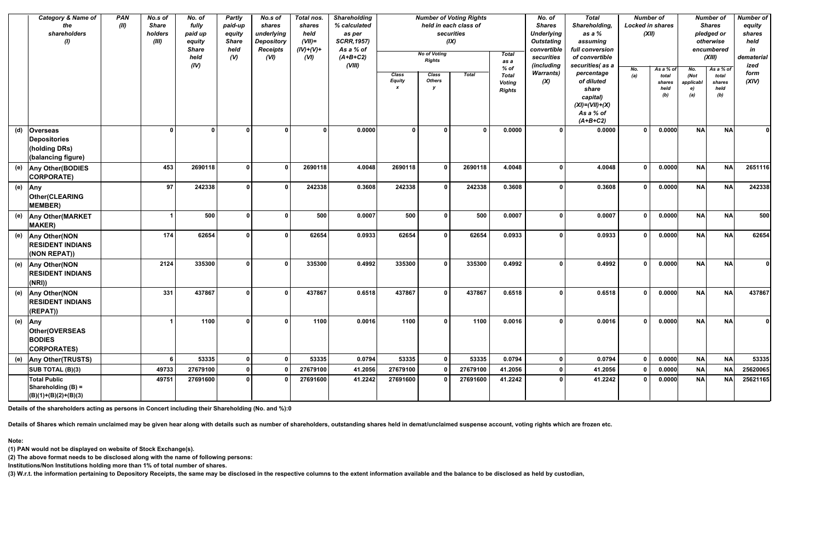|     | <b>Category &amp; Name of</b><br>the<br>shareholders<br>$\mathbf{\theta}$ | <b>PAN</b><br>(II) | No.s of<br><b>Share</b><br>holders<br>(III) | No. of<br>fully<br>paid up<br>equity<br><b>Share</b><br>held<br>(IV) |              | <b>Partly</b><br>paid-up<br>equity<br><b>Share</b><br>held<br>(V) | No.s of<br>shares<br>underlying<br><b>Depository</b><br><b>Receipts</b><br>(VI) | Total nos.<br>shares<br>held<br>$(VII)$ =<br>$(IV)+(V)+$<br>(VI) | <b>Shareholding</b><br>% calculated<br>as per<br><b>SCRR, 1957)</b><br>As a % of<br>$(A+B+C2)$<br>(VIII) |                               | <b>No of Voting</b><br><b>Rights</b> | <b>Number of Voting Rights</b><br>held in each class of<br>securities<br>(IX) | <b>Total</b><br>as a<br>$%$ of | No. of<br><b>Shares</b><br><b>Underlying</b><br><b>Outstating</b><br>convertible<br>securities<br>(including | <b>Total</b><br>Shareholding,<br>as a %<br>assuming<br>full conversion<br>of convertible<br>securities(as a | <b>Number of</b><br><b>Locked in shares</b><br>(XII)<br>No. | As a % of                      | No.                            | <b>Number of</b><br><b>Shares</b><br>pledged or<br>otherwise<br>encumbered<br>(XIII)<br>As a % of | <b>Number of</b><br>equity<br>shares<br>held<br>in<br>dematerial<br>ized |
|-----|---------------------------------------------------------------------------|--------------------|---------------------------------------------|----------------------------------------------------------------------|--------------|-------------------------------------------------------------------|---------------------------------------------------------------------------------|------------------------------------------------------------------|----------------------------------------------------------------------------------------------------------|-------------------------------|--------------------------------------|-------------------------------------------------------------------------------|--------------------------------|--------------------------------------------------------------------------------------------------------------|-------------------------------------------------------------------------------------------------------------|-------------------------------------------------------------|--------------------------------|--------------------------------|---------------------------------------------------------------------------------------------------|--------------------------------------------------------------------------|
|     |                                                                           |                    |                                             |                                                                      |              |                                                                   |                                                                                 |                                                                  | Class<br><b>Equity</b><br>$\boldsymbol{x}$                                                               | <b>Class</b><br><b>Others</b> | Total                                | <b>Total</b><br><b>Voting</b><br><b>Rights</b>                                | <b>Warrants)</b><br>(X)        | percentage<br>of diluted<br>share<br>capital)<br>$(XI) = (VII) + (X)$<br>As a % of<br>$(A+B+C2)$             | (a)                                                                                                         | total<br>shares<br>held<br>(b)                              | (Not<br>applicabl<br>e)<br>(a) | total<br>shares<br>held<br>(b) | form<br>(XIV)                                                                                     |                                                                          |
| (d) | <b>Overseas</b><br>Depositories<br>(holding DRs)<br>(balancing figure)    |                    | $\Omega$                                    | 0                                                                    | $\mathbf{0}$ | ∩                                                                 | $\mathbf{0}$                                                                    | 0.0000                                                           | $\Omega$                                                                                                 | n                             | - 0                                  | 0.0000                                                                        | $\Omega$                       | 0.0000                                                                                                       | $\mathbf{0}$                                                                                                | 0.0000                                                      | <b>NA</b>                      | <b>NA</b>                      | $\Omega$                                                                                          |                                                                          |
|     | (e) Any Other(BODIES<br>CORPORATE)                                        |                    | 453                                         | 2690118                                                              | 0            | $\Omega$                                                          | 2690118                                                                         | 4.0048                                                           | 2690118                                                                                                  | $\Omega$                      | 2690118                              | 4.0048                                                                        | $\mathbf 0$                    | 4.0048                                                                                                       | $\mathbf 0$                                                                                                 | 0.0000                                                      | <b>NA</b>                      | <b>NA</b>                      | 2651116                                                                                           |                                                                          |
|     | (e) $\vert$ Any<br>Other(CLEARING<br>MEMBER)                              |                    | 97                                          | 242338                                                               | $\Omega$     | n                                                                 | 242338                                                                          | 0.3608                                                           | 242338                                                                                                   | $\Omega$                      | 242338                               | 0.3608                                                                        | $\mathbf 0$                    | 0.3608                                                                                                       | $\mathbf{0}$                                                                                                | 0.0000                                                      | <b>NA</b>                      | <b>NA</b>                      | 242338                                                                                            |                                                                          |
|     | (e) Any Other (MARKET<br><b>MAKER</b> )                                   |                    |                                             | 500                                                                  | 0            | n                                                                 | 500                                                                             | 0.0007                                                           | 500                                                                                                      | U                             | 500                                  | 0.0007                                                                        | 0                              | 0.0007                                                                                                       | $\mathbf 0$                                                                                                 | 0.0000                                                      | <b>NA</b>                      | <b>NA</b>                      | 500                                                                                               |                                                                          |
| (e) | <b>Any Other (NON</b><br><b>RESIDENT INDIANS</b><br>(NON REPAT))          |                    | 174                                         | 62654                                                                | 0            |                                                                   | 62654                                                                           | 0.0933                                                           | 62654                                                                                                    |                               | 62654                                | 0.0933                                                                        | 0                              | 0.0933                                                                                                       | $\Omega$                                                                                                    | 0.0000                                                      | <b>NA</b>                      | <b>NA</b>                      | 62654                                                                                             |                                                                          |
|     | (e) Any Other (NON<br><b>RESIDENT INDIANS</b><br>(NRI))                   |                    | 2124                                        | 335300                                                               | 0            | n                                                                 | 335300                                                                          | 0.4992                                                           | 335300                                                                                                   |                               | 335300                               | 0.4992                                                                        | 0                              | 0.4992                                                                                                       | $\mathbf{0}$                                                                                                | 0.0000                                                      | <b>NA</b>                      | <b>NA</b>                      | $\Omega$                                                                                          |                                                                          |
| (e) | <b>Any Other (NON</b><br><b>RESIDENT INDIANS</b><br>(REPAT))              |                    | 331                                         | 437867                                                               | $\mathbf{0}$ | $\Omega$                                                          | 437867                                                                          | 0.6518                                                           | 437867                                                                                                   |                               | 437867                               | 0.6518                                                                        | 0                              | 0.6518                                                                                                       | $\mathbf{0}$                                                                                                | 0.0000                                                      | <b>NA</b>                      | <b>NA</b>                      | 437867                                                                                            |                                                                          |
|     | (e) $\vert$ Any<br>Other(OVERSEAS<br><b>BODIES</b><br><b>CORPORATES)</b>  |                    |                                             | 1100                                                                 | 0            | 0 I                                                               | 1100                                                                            | 0.0016                                                           | 1100                                                                                                     |                               | 1100                                 | 0.0016                                                                        | $\mathbf{0}$                   | 0.0016                                                                                                       | 0 <sup>1</sup>                                                                                              | 0.0000                                                      | <b>NA</b>                      | <b>NA</b>                      | $\mathbf{0}$                                                                                      |                                                                          |
| (e) | <b>Any Other (TRUSTS)</b>                                                 |                    | 6                                           | 53335                                                                | $\Omega$     | <sup>0</sup>                                                      | 53335                                                                           | 0.0794                                                           | 53335                                                                                                    |                               | 53335                                | 0.0794                                                                        | $\mathbf 0$                    | 0.0794                                                                                                       | $\mathbf{0}$                                                                                                | 0.0000                                                      | <b>NA</b>                      | <b>NA</b>                      | 53335                                                                                             |                                                                          |
|     | SUB TOTAL (B)(3)                                                          |                    | 49733                                       | 27679100                                                             |              |                                                                   | 27679100                                                                        | 41.2056                                                          | 27679100                                                                                                 |                               | 27679100                             | 41.2056                                                                       | $\bf{0}$                       | 41.2056                                                                                                      | $\mathbf 0$                                                                                                 | 0.0000                                                      | <b>NA</b>                      | <b>NA</b>                      | 25620065                                                                                          |                                                                          |
|     | <b>Total Public</b><br>Shareholding (B) =<br>$(B)(1)+(B)(2)+(B)(3)$       |                    | 49751                                       | 27691600                                                             |              |                                                                   | 27691600                                                                        | 41.2242                                                          | 27691600                                                                                                 |                               | 27691600                             | 41.2242                                                                       | $\mathbf 0$                    | 41.2242                                                                                                      | $\mathbf 0$                                                                                                 | 0.0000                                                      | <b>NA</b>                      | <b>NA</b>                      | 25621165                                                                                          |                                                                          |

**Details of the shareholders acting as persons in Concert including their Shareholding (No. and %):0**

**Details of Shares which remain unclaimed may be given hear along with details such as number of shareholders, outstanding shares held in demat/unclaimed suspense account, voting rights which are frozen etc.**

**Note:**

**(1) PAN would not be displayed on website of Stock Exchange(s).**

**(2) The above format needs to be disclosed along with the name of following persons:**

**Institutions/Non Institutions holding more than 1% of total number of shares.**

**(3) W.r.t. the information pertaining to Depository Receipts, the same may be disclosed in the respective columns to the extent information available and the balance to be disclosed as held by custodian,**